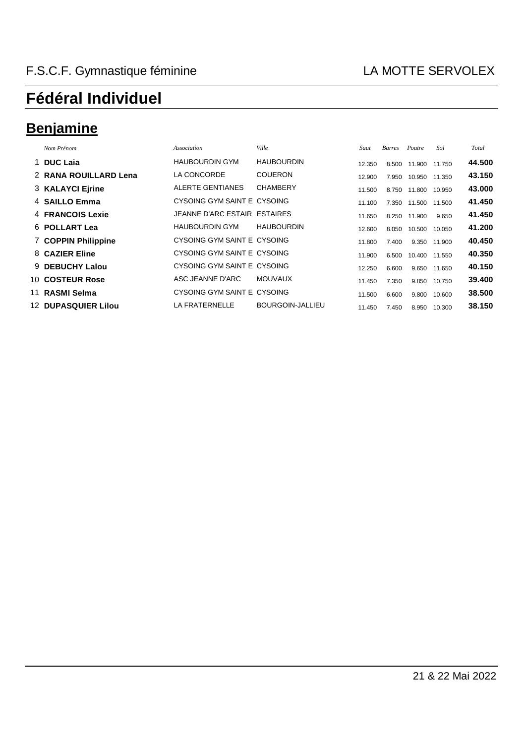## **Benjamine**

| Nom Prénom                 | Association                  | Ville             | Saut   | <b>Barres</b> | Poutre | Sol    | Total  |
|----------------------------|------------------------------|-------------------|--------|---------------|--------|--------|--------|
| 1 DUC Laia                 | <b>HAUBOURDIN GYM</b>        | <b>HAUBOURDIN</b> | 12.350 | 8.500         | 11.900 | 11.750 | 44.500 |
| 2 RANA ROUILLARD Lena      | LA CONCORDE                  | <b>COUERON</b>    | 12.900 | 7.950         | 10.950 | 11.350 | 43.150 |
| 3 KALAYCI Ejrine           | ALERTE GENTIANES             | <b>CHAMBERY</b>   | 11.500 | 8.750         | 11.800 | 10.950 | 43.000 |
| 4 SAILLO Emma              | CYSOING GYM SAINT E CYSOING  |                   | 11.100 | 7.350         | 11.500 | 11.500 | 41.450 |
| <b>4 FRANCOIS Lexie</b>    | JEANNE D'ARC ESTAIR ESTAIRES |                   | 11.650 | 8.250         | 11.900 | 9.650  | 41.450 |
| 6 POLLART Lea              | <b>HAUBOURDIN GYM</b>        | <b>HAUBOURDIN</b> | 12.600 | 8.050         | 10.500 | 10.050 | 41.200 |
| 7 COPPIN Philippine        | CYSOING GYM SAINT E CYSOING  |                   | 11.800 | 7.400         | 9.350  | 11.900 | 40.450 |
| 8 CAZIER Eline             | CYSOING GYM SAINT E CYSOING  |                   | 11.900 | 6.500         | 10.400 | 11.550 | 40.350 |
| 9 DEBUCHY Lalou            | CYSOING GYM SAINT E CYSOING  |                   | 12.250 | 6.600         | 9.650  | 11.650 | 40.150 |
| 10 COSTEUR Rose            | ASC JEANNE D'ARC             | <b>MOUVAUX</b>    | 11.450 | 7.350         | 9.850  | 10.750 | 39,400 |
| 11 RASMI Selma             | CYSOING GYM SAINT E CYSOING  |                   | 11.500 | 6.600         | 9.800  | 10.600 | 38.500 |
| <b>12 DUPASQUIER Lilou</b> | LA FRATERNELLE               | BOURGOIN-JALLIEU  | 11.450 | 7.450         | 8.950  | 10.300 | 38.150 |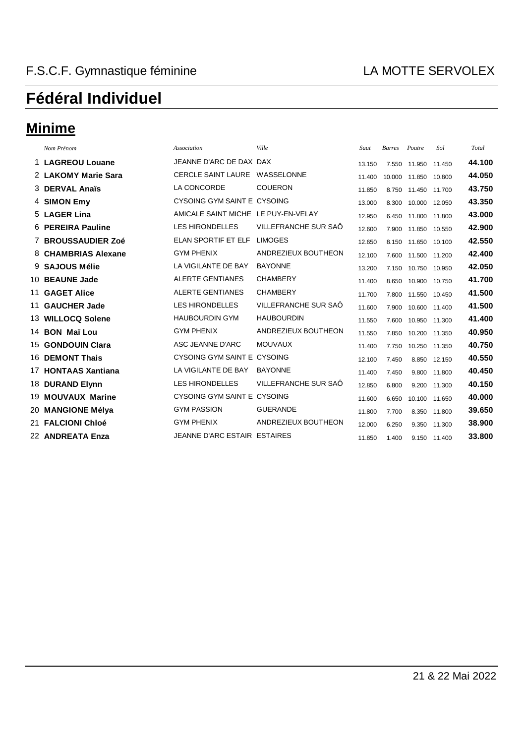### **Minime**

| Nom Prénom          | <b>Association</b>                  | Ville                | Saut   | <b>Barres</b> | Poutre        | Sol    | Total  |
|---------------------|-------------------------------------|----------------------|--------|---------------|---------------|--------|--------|
| 1 LAGREOU Louane    | JEANNE D'ARC DE DAX DAX             |                      | 13.150 | 7.550         | 11.950        | 11.450 | 44.100 |
| 2 LAKOMY Marie Sara | CERCLE SAINT LAURE WASSELONNE       |                      | 11.400 | 10.000        | 11.850        | 10.800 | 44.050 |
| 3 DERVAL Anaïs      | LA CONCORDE                         | <b>COUERON</b>       | 11.850 | 8.750         | 11.450 11.700 |        | 43.750 |
| 4 SIMON Emy         | CYSOING GYM SAINT E CYSOING         |                      | 13.000 | 8.300         | 10.000        | 12.050 | 43.350 |
| 5 LAGER Lina        | AMICALE SAINT MICHE LE PUY-EN-VELAY |                      | 12.950 | 6.450         | 11.800        | 11.800 | 43.000 |
| 6 PEREIRA Pauline   | <b>LES HIRONDELLES</b>              | VILLEFRANCHE SUR SAÖ | 12.600 | 7.900         | 11.850 10.550 |        | 42.900 |
| 7 BROUSSAUDIER Zoé  | ELAN SPORTIF ET ELF                 | <b>LIMOGES</b>       | 12.650 | 8.150         | 11.650        | 10.100 | 42.550 |
| 8 CHAMBRIAS Alexane | <b>GYM PHENIX</b>                   | ANDREZIEUX BOUTHEON  | 12.100 | 7.600         | 11.500 11.200 |        | 42.400 |
| 9 SAJOUS Mélie      | LA VIGILANTE DE BAY                 | <b>BAYONNE</b>       | 13.200 | 7.150         | 10.750 10.950 |        | 42.050 |
| 10 BEAUNE Jade      | <b>ALERTE GENTIANES</b>             | <b>CHAMBERY</b>      | 11.400 | 8.650         | 10.900        | 10.750 | 41.700 |
| 11 GAGET Alice      | <b>ALERTE GENTIANES</b>             | <b>CHAMBERY</b>      | 11.700 | 7.800         | 11.550 10.450 |        | 41.500 |
| 11 GAUCHER Jade     | <b>LES HIRONDELLES</b>              | VILLEFRANCHE SUR SAÔ | 11.600 | 7.900         | 10.600        | 11.400 | 41.500 |
| 13 WILLOCQ Solene   | <b>HAUBOURDIN GYM</b>               | <b>HAUBOURDIN</b>    | 11.550 | 7.600         | 10.950        | 11.300 | 41.400 |
| 14 BON Maï Lou      | <b>GYM PHENIX</b>                   | ANDREZIEUX BOUTHEON  | 11.550 | 7.850         | 10.200 11.350 |        | 40.950 |
| 15 GONDOUIN Clara   | ASC JEANNE D'ARC                    | <b>MOUVAUX</b>       | 11.400 | 7.750         | 10.250        | 11.350 | 40.750 |
| 16 DEMONT Thais     | CYSOING GYM SAINT E CYSOING         |                      | 12.100 | 7.450         | 8.850         | 12.150 | 40.550 |
| 17 HONTAAS Xantiana | LA VIGILANTE DE BAY                 | <b>BAYONNE</b>       | 11.400 | 7.450         | 9.800 11.800  |        | 40.450 |
| 18 DURAND Elynn     | <b>LES HIRONDELLES</b>              | VILLEFRANCHE SUR SAÖ | 12.850 | 6.800         | 9.200         | 11.300 | 40.150 |
| 19 MOUVAUX Marine   | CYSOING GYM SAINT E CYSOING         |                      | 11.600 | 6.650         | 10.100        | 11.650 | 40.000 |
| 20 MANGIONE Mélya   | <b>GYM PASSION</b>                  | <b>GUERANDE</b>      | 11.800 | 7.700         | 8.350 11.800  |        | 39.650 |
| 21 FALCIONI Chloé   | <b>GYM PHENIX</b>                   | ANDREZIEUX BOUTHEON  | 12.000 | 6.250         | 9.350         | 11.300 | 38,900 |
| 22 ANDREATA Enza    | JEANNE D'ARC ESTAIR ESTAIRES        |                      | 11.850 | 1.400         | 9.150         | 11.400 | 33,800 |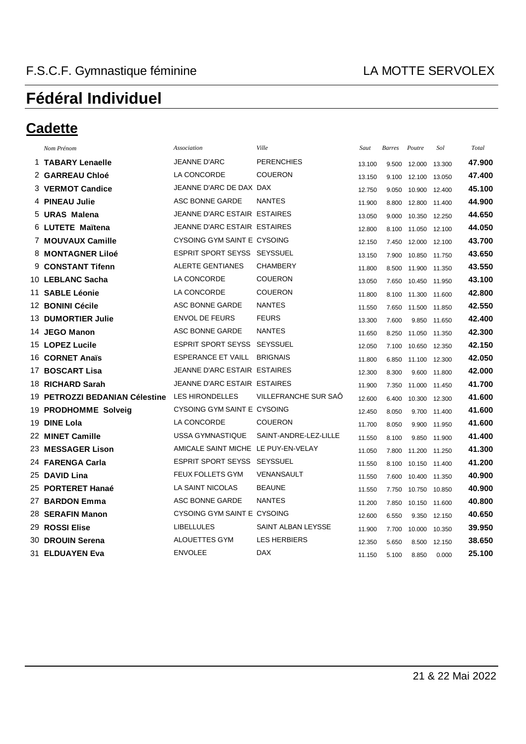#### **Cadette**

| Nom Prénom | Association                                                                                                                                                                                                                                                                                                                                                                                                                                                                                                                                                                                                                                    | Ville                 | Saut                                                                                                                                                                                                                                                                                                                              |       |               | Sol    | Total                                                                                                                                                                                                                                                                                                                                                                      |
|------------|------------------------------------------------------------------------------------------------------------------------------------------------------------------------------------------------------------------------------------------------------------------------------------------------------------------------------------------------------------------------------------------------------------------------------------------------------------------------------------------------------------------------------------------------------------------------------------------------------------------------------------------------|-----------------------|-----------------------------------------------------------------------------------------------------------------------------------------------------------------------------------------------------------------------------------------------------------------------------------------------------------------------------------|-------|---------------|--------|----------------------------------------------------------------------------------------------------------------------------------------------------------------------------------------------------------------------------------------------------------------------------------------------------------------------------------------------------------------------------|
|            | <b>JEANNE D'ARC</b>                                                                                                                                                                                                                                                                                                                                                                                                                                                                                                                                                                                                                            | <b>PERENCHIES</b>     | 13.100                                                                                                                                                                                                                                                                                                                            | 9.500 |               |        | 47.900                                                                                                                                                                                                                                                                                                                                                                     |
|            | LA CONCORDE                                                                                                                                                                                                                                                                                                                                                                                                                                                                                                                                                                                                                                    | <b>COUERON</b>        | 13.150                                                                                                                                                                                                                                                                                                                            | 9.100 | 12.100        |        | 47.400                                                                                                                                                                                                                                                                                                                                                                     |
|            |                                                                                                                                                                                                                                                                                                                                                                                                                                                                                                                                                                                                                                                |                       | 12.750                                                                                                                                                                                                                                                                                                                            | 9.050 | 10.900        |        | 45.100                                                                                                                                                                                                                                                                                                                                                                     |
|            | ASC BONNE GARDE                                                                                                                                                                                                                                                                                                                                                                                                                                                                                                                                                                                                                                | <b>NANTES</b>         | 11.900                                                                                                                                                                                                                                                                                                                            | 8.800 |               |        | 44.900                                                                                                                                                                                                                                                                                                                                                                     |
|            |                                                                                                                                                                                                                                                                                                                                                                                                                                                                                                                                                                                                                                                |                       | 13.050                                                                                                                                                                                                                                                                                                                            | 9.000 | 10.350        |        | 44.650                                                                                                                                                                                                                                                                                                                                                                     |
|            |                                                                                                                                                                                                                                                                                                                                                                                                                                                                                                                                                                                                                                                |                       | 12.800                                                                                                                                                                                                                                                                                                                            | 8.100 |               |        | 44.050                                                                                                                                                                                                                                                                                                                                                                     |
|            |                                                                                                                                                                                                                                                                                                                                                                                                                                                                                                                                                                                                                                                |                       | 12.150                                                                                                                                                                                                                                                                                                                            | 7.450 |               |        | 43.700                                                                                                                                                                                                                                                                                                                                                                     |
|            |                                                                                                                                                                                                                                                                                                                                                                                                                                                                                                                                                                                                                                                |                       | 13.150                                                                                                                                                                                                                                                                                                                            | 7.900 | 10.850        |        | 43.650                                                                                                                                                                                                                                                                                                                                                                     |
|            | <b>ALERTE GENTIANES</b>                                                                                                                                                                                                                                                                                                                                                                                                                                                                                                                                                                                                                        | <b>CHAMBERY</b>       | 11.800                                                                                                                                                                                                                                                                                                                            | 8.500 |               |        | 43.550                                                                                                                                                                                                                                                                                                                                                                     |
|            | LA CONCORDE                                                                                                                                                                                                                                                                                                                                                                                                                                                                                                                                                                                                                                    | <b>COUERON</b>        | 13.050                                                                                                                                                                                                                                                                                                                            | 7.650 | 10.450        |        | 43.100                                                                                                                                                                                                                                                                                                                                                                     |
|            | LA CONCORDE                                                                                                                                                                                                                                                                                                                                                                                                                                                                                                                                                                                                                                    | <b>COUERON</b>        | 11.800                                                                                                                                                                                                                                                                                                                            | 8.100 | 11.300        |        | 42.800                                                                                                                                                                                                                                                                                                                                                                     |
|            | ASC BONNE GARDE                                                                                                                                                                                                                                                                                                                                                                                                                                                                                                                                                                                                                                | <b>NANTES</b>         | 11.550                                                                                                                                                                                                                                                                                                                            | 7.650 |               |        | 42.550                                                                                                                                                                                                                                                                                                                                                                     |
|            | <b>ENVOL DE FEURS</b>                                                                                                                                                                                                                                                                                                                                                                                                                                                                                                                                                                                                                          | <b>FEURS</b>          | 13.300                                                                                                                                                                                                                                                                                                                            | 7.600 | 9.850         |        | 42.400                                                                                                                                                                                                                                                                                                                                                                     |
|            | ASC BONNE GARDE                                                                                                                                                                                                                                                                                                                                                                                                                                                                                                                                                                                                                                | <b>NANTES</b>         | 11.650                                                                                                                                                                                                                                                                                                                            | 8.250 | 11.050        |        | 42.300                                                                                                                                                                                                                                                                                                                                                                     |
|            | <b>ESPRIT SPORT SEYSS</b>                                                                                                                                                                                                                                                                                                                                                                                                                                                                                                                                                                                                                      | <b>SEYSSUEL</b>       | 12.050                                                                                                                                                                                                                                                                                                                            | 7.100 |               |        | 42.150                                                                                                                                                                                                                                                                                                                                                                     |
|            | <b>ESPERANCE ET VAILL</b>                                                                                                                                                                                                                                                                                                                                                                                                                                                                                                                                                                                                                      | <b>BRIGNAIS</b>       | 11.800                                                                                                                                                                                                                                                                                                                            | 6.850 | 11.100        |        | 42.050                                                                                                                                                                                                                                                                                                                                                                     |
|            |                                                                                                                                                                                                                                                                                                                                                                                                                                                                                                                                                                                                                                                |                       | 12.300                                                                                                                                                                                                                                                                                                                            | 8.300 | 9.600         |        | 42.000                                                                                                                                                                                                                                                                                                                                                                     |
|            |                                                                                                                                                                                                                                                                                                                                                                                                                                                                                                                                                                                                                                                |                       | 11.900                                                                                                                                                                                                                                                                                                                            | 7.350 |               |        | 41.700                                                                                                                                                                                                                                                                                                                                                                     |
|            | <b>LES HIRONDELLES</b>                                                                                                                                                                                                                                                                                                                                                                                                                                                                                                                                                                                                                         | VILLEFRANCHE SUR SAÖ  | 12.600                                                                                                                                                                                                                                                                                                                            | 6.400 | 10.300        |        | 41.600                                                                                                                                                                                                                                                                                                                                                                     |
|            |                                                                                                                                                                                                                                                                                                                                                                                                                                                                                                                                                                                                                                                |                       | 12.450                                                                                                                                                                                                                                                                                                                            | 8.050 | 9.700         |        | 41.600                                                                                                                                                                                                                                                                                                                                                                     |
|            | LA CONCORDE                                                                                                                                                                                                                                                                                                                                                                                                                                                                                                                                                                                                                                    | <b>COUERON</b>        | 11.700                                                                                                                                                                                                                                                                                                                            | 8.050 |               |        | 41.600                                                                                                                                                                                                                                                                                                                                                                     |
|            | USSA GYMNASTIQUE                                                                                                                                                                                                                                                                                                                                                                                                                                                                                                                                                                                                                               | SAINT-ANDRE-LEZ-LILLE | 11.550                                                                                                                                                                                                                                                                                                                            | 8.100 | 9.850         |        | 41.400                                                                                                                                                                                                                                                                                                                                                                     |
|            |                                                                                                                                                                                                                                                                                                                                                                                                                                                                                                                                                                                                                                                |                       | 11.050                                                                                                                                                                                                                                                                                                                            | 7.800 | 11.200        |        | 41.300                                                                                                                                                                                                                                                                                                                                                                     |
|            | <b>ESPRIT SPORT SEYSS</b>                                                                                                                                                                                                                                                                                                                                                                                                                                                                                                                                                                                                                      | <b>SEYSSUEL</b>       | 11.550                                                                                                                                                                                                                                                                                                                            | 8.100 |               |        | 41.200                                                                                                                                                                                                                                                                                                                                                                     |
|            | <b>FEUX FOLLETS GYM</b>                                                                                                                                                                                                                                                                                                                                                                                                                                                                                                                                                                                                                        | VENANSAULT            | 11.550                                                                                                                                                                                                                                                                                                                            | 7.600 | 10.400        |        | 40.900                                                                                                                                                                                                                                                                                                                                                                     |
|            | LA SAINT NICOLAS                                                                                                                                                                                                                                                                                                                                                                                                                                                                                                                                                                                                                               | <b>BEAUNE</b>         | 11.550                                                                                                                                                                                                                                                                                                                            | 7.750 | 10.750        |        | 40.900                                                                                                                                                                                                                                                                                                                                                                     |
|            | ASC BONNE GARDE                                                                                                                                                                                                                                                                                                                                                                                                                                                                                                                                                                                                                                | <b>NANTES</b>         | 11.200                                                                                                                                                                                                                                                                                                                            | 7.850 | 10.150        |        | 40.800                                                                                                                                                                                                                                                                                                                                                                     |
|            |                                                                                                                                                                                                                                                                                                                                                                                                                                                                                                                                                                                                                                                |                       | 12.600                                                                                                                                                                                                                                                                                                                            | 6.550 | 9.350         |        | 40.650                                                                                                                                                                                                                                                                                                                                                                     |
|            | <b>LIBELLULES</b>                                                                                                                                                                                                                                                                                                                                                                                                                                                                                                                                                                                                                              | SAINT ALBAN LEYSSE    | 11.900                                                                                                                                                                                                                                                                                                                            | 7.700 |               |        | 39.950                                                                                                                                                                                                                                                                                                                                                                     |
|            | ALOUETTES GYM                                                                                                                                                                                                                                                                                                                                                                                                                                                                                                                                                                                                                                  | <b>LES HERBIERS</b>   | 12.350                                                                                                                                                                                                                                                                                                                            | 5.650 | 8.500         | 12.150 | 38.650                                                                                                                                                                                                                                                                                                                                                                     |
|            | <b>ENVOLEE</b>                                                                                                                                                                                                                                                                                                                                                                                                                                                                                                                                                                                                                                 | <b>DAX</b>            | 11.150                                                                                                                                                                                                                                                                                                                            | 5.100 | 8.850         | 0.000  | 25.100                                                                                                                                                                                                                                                                                                                                                                     |
|            | 1 TABARY Lenaelle<br>2 GARREAU Chloé<br>3 VERMOT Candice<br>4 PINEAU Julie<br>5 URAS Malena<br>6 LUTETE Maïtena<br>7 MOUVAUX Camille<br>8 MONTAGNER Liloé<br><b>CONSTANT Tifenn</b><br>10 LEBLANC Sacha<br>11 SABLE Léonie<br>12 BONINI Cécile<br>13 DUMORTIER Julie<br>14 JEGO Manon<br>15 LOPEZ Lucile<br>16 CORNET Anaïs<br>17 BOSCART Lisa<br>18 RICHARD Sarah<br>19 PETROZZI BEDANIAN Célestine<br>19 PRODHOMME Solveig<br>19 DINE Lola<br>22 MINET Camille<br>23 MESSAGER Lison<br>24 FARENGA Carla<br>25 DAVID Lina<br>25 PORTERET Hanaé<br>27 BARDON Emma<br>28 SERAFIN Manon<br>29 ROSSI Elise<br>30 DROUIN Serena<br>31 ELDUAYEN Eva |                       | JEANNE D'ARC DE DAX DAX<br>JEANNE D'ARC ESTAIR ESTAIRES<br>JEANNE D'ARC ESTAIR ESTAIRES<br>CYSOING GYM SAINT E CYSOING<br><b>ESPRIT SPORT SEYSS SEYSSUEL</b><br>JEANNE D'ARC ESTAIR ESTAIRES<br>JEANNE D'ARC ESTAIR ESTAIRES<br>CYSOING GYM SAINT E CYSOING<br>AMICALE SAINT MICHE LE PUY-EN-VELAY<br>CYSOING GYM SAINT E CYSOING |       | <b>Barres</b> | Poutre | 12.000 13.300<br>13.050<br>12.400<br>12.800 11.400<br>12.250<br>11.050 12.100<br>12.000 12.100<br>11.750<br>11.900 11.350<br>11.950<br>11.600<br>11.500 11.850<br>11.650<br>11.350<br>10.650 12.350<br>12.300<br>11.800<br>11.000 11.450<br>12.300<br>11.400<br>9.900 11.950<br>11.900<br>11.250<br>10.150 11.400<br>11.350<br>10.850<br>11.600<br>12.150<br>10.000 10.350 |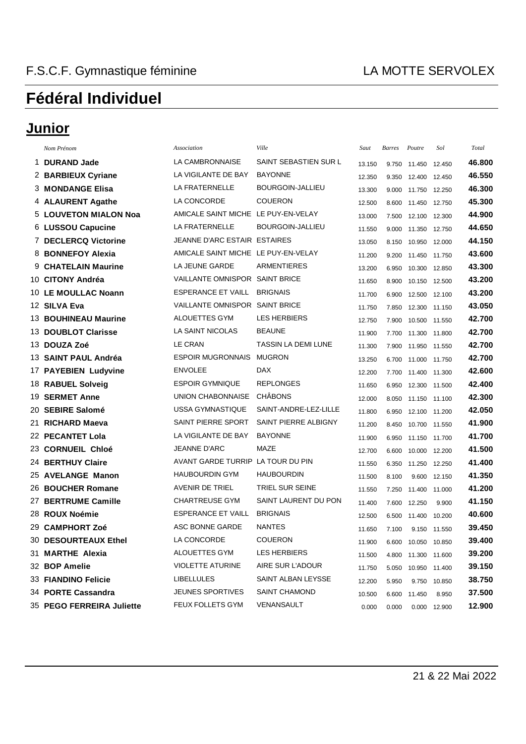### Junior

| Nom Prénom                   | Association                         | Ville                 | Saut   | <b>Barres</b> | Poutre              | Sol    | Total  |
|------------------------------|-------------------------------------|-----------------------|--------|---------------|---------------------|--------|--------|
| 1 DURAND Jade                | LA CAMBRONNAISE                     | SAINT SEBASTIEN SUR L | 13.150 | 9.750         | 11.450 12.450       |        | 46.800 |
| 2 BARBIEUX Cyriane           | LA VIGILANTE DE BAY                 | <b>BAYONNE</b>        | 12.350 | 9.350         | 12.400 12.450       |        | 46.550 |
| 3 MONDANGE Elisa             | LA FRATERNELLE                      | BOURGOIN-JALLIEU      | 13.300 | 9.000         | 11.750 12.250       |        | 46.300 |
| 4 ALAURENT Agathe            | LA CONCORDE                         | <b>COUERON</b>        | 12.500 | 8.600         | 11.450              | 12.750 | 45.300 |
| <b>5 LOUVETON MIALON Noa</b> | AMICALE SAINT MICHE LE PUY-EN-VELAY |                       | 13.000 | 7.500         | 12.100 12.300       |        | 44.900 |
| 6 LUSSOU Capucine            | LA FRATERNELLE                      | BOURGOIN-JALLIEU      | 11.550 | 9.000         | 11.350              | 12.750 | 44.650 |
| 7 DECLERCQ Victorine         | JEANNE D'ARC ESTAIR ESTAIRES        |                       | 13.050 | 8.150         | 10.950 12.000       |        | 44.150 |
| 8 BONNEFOY Alexia            | AMICALE SAINT MICHE LE PUY-EN-VELAY |                       | 11.200 | 9.200         | 11.450 11.750       |        | 43.600 |
| 9 CHATELAIN Maurine          | LA JEUNE GARDE                      | ARMENTIERES           | 13.200 | 6.950         | 10.300 12.850       |        | 43.300 |
| 10 CITONY Andréa             | VAILLANTE OMNISPOR SAINT BRICE      |                       | 11.650 | 8.900         | 10.150 12.500       |        | 43.200 |
| 10 LE MOULLAC Noann          | ESPERANCE ET VAILL                  | <b>BRIGNAIS</b>       | 11.700 | 6.900         | 12.500 12.100       |        | 43.200 |
| 12 SILVA Eva                 | VAILLANTE OMNISPOR SAINT BRICE      |                       | 11.750 | 7.850         | 12.300 11.150       |        | 43.050 |
| <b>13 BOUHINEAU Maurine</b>  | ALOUETTES GYM                       | <b>LES HERBIERS</b>   | 12.750 | 7.900         | 10.500 11.550       |        | 42.700 |
| 13 DOUBLOT Clarisse          | <b>LA SAINT NICOLAS</b>             | <b>BEAUNE</b>         | 11.900 | 7.700         | 11.300 11.800       |        | 42.700 |
| 13 DOUZA Zoé                 | LE CRAN                             | TASSIN LA DEMI LUNE   | 11.300 | 7.900         | 11.950              | 11.550 | 42.700 |
| 13 SAINT PAUL Andréa         | <b>ESPOIR MUGRONNAIS</b>            | <b>MUGRON</b>         | 13.250 | 6.700         | 11.000 11.750       |        | 42.700 |
| 17 PAYEBIEN Ludyvine         | <b>ENVOLEE</b>                      | <b>DAX</b>            | 12.200 | 7.700         | 11.400 11.300       |        | 42.600 |
| 18 RABUEL Solveig            | <b>ESPOIR GYMNIQUE</b>              | <b>REPLONGES</b>      | 11.650 | 6.950         | 12.300 11.500       |        | 42.400 |
| 19 SERMET Anne               | UNION CHABONNAISE                   | <b>CHÂBONS</b>        | 12.000 | 8.050         | 11.150 11.100       |        | 42.300 |
| 20 SEBIRE Salomé             | <b>USSA GYMNASTIQUE</b>             | SAINT-ANDRE-LEZ-LILLE | 11.800 | 6.950         | 12.100 11.200       |        | 42.050 |
| 21 RICHARD Maeva             | SAINT PIERRE SPORT                  | SAINT PIERRE ALBIGNY  | 11.200 | 8.450         | 10.700 11.550       |        | 41.900 |
| 22 PECANTET Lola             | LA VIGILANTE DE BAY                 | <b>BAYONNE</b>        | 11.900 | 6.950         | 11.150 11.700       |        | 41.700 |
| 23 CORNUEIL Chloé            | <b>JEANNE D'ARC</b>                 | <b>MAZE</b>           | 12.700 | 6.600         | 10.000 12.200       |        | 41.500 |
| <b>24 BERTHUY Claire</b>     | AVANT GARDE TURRIP LA TOUR DU PIN   |                       | 11.550 | 6.350         | 11.250 12.250       |        | 41.400 |
| 25 AVELANGE Manon            | <b>HAUBOURDIN GYM</b>               | <b>HAUBOURDIN</b>     | 11.500 | 8.100         | 9.600               | 12.150 | 41.350 |
| 26 BOUCHER Romane            | <b>AVENIR DE TRIEL</b>              | TRIEL SUR SEINE       | 11.550 | 7.250         | 11.400 11.000       |        | 41.200 |
| 27 BERTRUME Camille          | <b>CHARTREUSE GYM</b>               | SAINT LAURENT DU PON  | 11.400 | 7.600         | 12.250              | 9.900  | 41.150 |
| 28 ROUX Noémie               | <b>ESPERANCE ET VAILL</b>           | <b>BRIGNAIS</b>       | 12.500 | 6.500         | 11.400              | 10.200 | 40.600 |
| 29 CAMPHORT Zoé              | <b>ASC BONNE GARDE</b>              | <b>NANTES</b>         | 11.650 | 7.100         | 9.150 11.550        |        | 39.450 |
| 30 DESOURTEAUX Ethel         | LA CONCORDE                         | <b>COUERON</b>        | 11.900 |               | 6.600 10.050 10.850 |        | 39.400 |
| 31 MARTHE Alexia             | ALOUETTES GYM                       | LES HERBIERS          | 11.500 |               | 4.800 11.300 11.600 |        | 39.200 |
| 32 BOP Amelie                | <b>VIOLETTE ATURINE</b>             | AIRE SUR L'ADOUR      | 11.750 |               | 5.050 10.950 11.400 |        | 39.150 |
| 33 FIANDINO Felicie          | <b>LIBELLULES</b>                   | SAINT ALBAN LEYSSE    | 12.200 | 5.950         | 9.750 10.850        |        | 38.750 |
| 34 PORTE Cassandra           | <b>JEUNES SPORTIVES</b>             | SAINT CHAMOND         | 10.500 | 6.600         | 11.450              | 8.950  | 37.500 |
| 35 PEGO FERREIRA Juliette    | FEUX FOLLETS GYM                    | VENANSAULT            | 0.000  | 0.000         | 0.000 12.900        |        | 12.900 |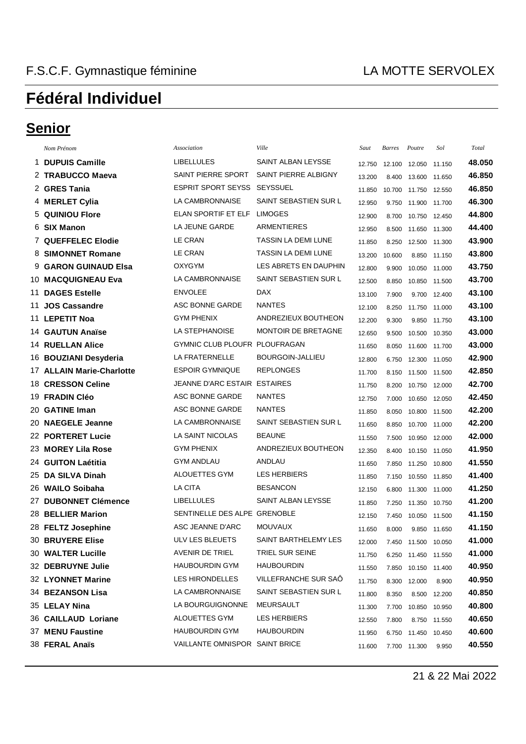### **Senior**

|    | Nom Prénom                | Association                    | Ville                      | Saut   | <b>Barres</b> | Poutre                | Sol          | Total  |
|----|---------------------------|--------------------------------|----------------------------|--------|---------------|-----------------------|--------------|--------|
|    | 1 DUPUIS Camille          | <b>LIBELLULES</b>              | SAINT ALBAN LEYSSE         | 12.750 | 12.100        | 12.050 11.150         |              | 48.050 |
|    | 2 TRABUCCO Maeva          | SAINT PIERRE SPORT             | SAINT PIERRE ALBIGNY       | 13.200 | 8.400         | 13.600                | 11.650       | 46.850 |
|    | 2 GRES Tania              | <b>ESPRIT SPORT SEYSS</b>      | <b>SEYSSUEL</b>            | 11.850 | 10.700        | 11.750 12.550         |              | 46.850 |
|    | 4 MERLET Cylia            | LA CAMBRONNAISE                | SAINT SEBASTIEN SUR L      | 12.950 | 9.750         | 11.900 11.700         |              | 46.300 |
|    | 5 QUINIOU Flore           | ELAN SPORTIF ET ELF            | <b>LIMOGES</b>             | 12.900 | 8.700         | 10.750 12.450         |              | 44.800 |
|    | 6 SIX Manon               | LA JEUNE GARDE                 | <b>ARMENTIERES</b>         | 12.950 | 8.500         | 11.650                | 11.300       | 44.400 |
|    | 7 QUEFFELEC Elodie        | LE CRAN                        | <b>TASSIN LA DEMI LUNE</b> | 11.850 | 8.250         | 12.500 11.300         |              | 43.900 |
|    | 8 SIMONNET Romane         | LE CRAN                        | <b>TASSIN LA DEMI LUNE</b> | 13.200 | 10.600        | 8.850                 | 11.150       | 43.800 |
|    | 9 GARON GUINAUD Elsa      | OXYGYM                         | LES ABRETS EN DAUPHIN      | 12.800 | 9.900         | 10.050 11.000         |              | 43.750 |
|    | <b>10 MACQUIGNEAU Eva</b> | LA CAMBRONNAISE                | SAINT SEBASTIEN SUR L      | 12.500 | 8.850         | 10.850                | 11.500       | 43.700 |
| 11 | <b>DAGES Estelle</b>      | <b>ENVOLEE</b>                 | <b>DAX</b>                 | 13.100 | 7.900         |                       | 9.700 12.400 | 43.100 |
|    | 11 JOS Cassandre          | ASC BONNE GARDE                | <b>NANTES</b>              | 12.100 | 8.250         | 11.750                | 11.000       | 43.100 |
|    | 11 LEPETIT Noa            | <b>GYM PHENIX</b>              | ANDREZIEUX BOUTHEON        | 12.200 | 9.300         | 9.850                 | 11.750       | 43.100 |
|    | 14 GAUTUN Anaïse          | LA STEPHANOISE                 | <b>MONTOIR DE BRETAGNE</b> | 12.650 | 9.500         | 10.500                | 10.350       | 43.000 |
|    | 14 RUELLAN Alice          | GYMNIC CLUB PLOUFR PLOUFRAGAN  |                            | 11.650 | 8.050         | 11.600                | 11.700       | 43.000 |
|    | 16 BOUZIANI Desyderia     | LA FRATERNELLE                 | BOURGOIN-JALLIEU           | 12.800 | 6.750         | 12.300 11.050         |              | 42.900 |
|    | 17 ALLAIN Marie-Charlotte | <b>ESPOIR GYMNIQUE</b>         | <b>REPLONGES</b>           | 11.700 | 8.150         | 11.500 11.500         |              | 42.850 |
|    | 18 CRESSON Celine         | JEANNE D'ARC ESTAIR ESTAIRES   |                            | 11.750 | 8.200         | 10.750 12.000         |              | 42.700 |
|    | 19 FRADIN Cléo            | ASC BONNE GARDE                | <b>NANTES</b>              | 12.750 | 7.000         | 10.650                | 12.050       | 42.450 |
|    | 20 GATINE Iman            | ASC BONNE GARDE                | <b>NANTES</b>              | 11.850 | 8.050         | 10.800 11.500         |              | 42.200 |
|    | 20 NAEGELE Jeanne         | LA CAMBRONNAISE                | SAINT SEBASTIEN SUR L      | 11.650 | 8.850         | 10.700                | 11.000       | 42.200 |
|    | 22 PORTERET Lucie         | LA SAINT NICOLAS               | <b>BEAUNE</b>              | 11.550 | 7.500         | 10.950 12.000         |              | 42.000 |
|    | 23 MOREY Lila Rose        | <b>GYM PHENIX</b>              | ANDREZIEUX BOUTHEON        | 12.350 | 8.400         | 10.150 11.050         |              | 41.950 |
|    | 24 GUITON Laétitia        | <b>GYM ANDLAU</b>              | ANDLAU                     | 11.650 | 7.850         | 11.250 10.800         |              | 41.550 |
|    | 25 DA SILVA Dinah         | ALOUETTES GYM                  | <b>LES HERBIERS</b>        | 11.850 | 7.150         | 10.550                | 11.850       | 41.400 |
|    | 26 WAILO Soibaha          | LA CITA                        | <b>BESANCON</b>            | 12.150 | 6.800         | 11.300                | 11.000       | 41.250 |
|    | 27 DUBONNET Clémence      | <b>LIBELLULES</b>              | SAINT ALBAN LEYSSE         | 11.850 | 7.250         | 11.350                | 10.750       | 41.200 |
|    | 28 BELLIER Marion         | SENTINELLE DES ALPE GRENOBLE   |                            | 12.150 | 7.450         | 10.050                | 11.500       | 41.150 |
|    | 28 FELTZ Josephine        | ASC JEANNE D'ARC               | <b>MOUVAUX</b>             | 11.650 | 8.000         |                       | 9.850 11.650 | 41.150 |
|    | 30 BRUYERE Elise          | ULV LES BLEUETS                | SAINT BARTHELEMY LES       | 12.000 |               | 7.450  11.500  10.050 |              | 41.000 |
|    | 30 WALTER Lucille         | AVENIR DE TRIEL                | TRIEL SUR SEINE            | 11.750 |               | 6.250 11.450 11.550   |              | 41.000 |
|    | 32 DEBRUYNE Julie         | HAUBOURDIN GYM                 | <b>HAUBOURDIN</b>          | 11.550 |               | 7.850 10.150 11.400   |              | 40.950 |
|    | 32 LYONNET Marine         | LES HIRONDELLES                | VILLEFRANCHE SUR SAÖ       | 11.750 |               | 8.300 12.000          | 8.900        | 40.950 |
|    | 34 BEZANSON Lisa          | LA CAMBRONNAISE                | SAINT SEBASTIEN SUR L      | 11.800 | 8.350         |                       | 8.500 12.200 | 40.850 |
|    | 35 LELAY Nina             | LA BOURGUIGNONNE               | MEURSAULT                  | 11.300 | 7.700         | 10.850 10.950         |              | 40.800 |
|    | 36 CAILLAUD Loriane       | ALOUETTES GYM                  | <b>LES HERBIERS</b>        | 12.550 | 7.800         |                       | 8.750 11.550 | 40.650 |
|    | 37 MENU Faustine          | <b>HAUBOURDIN GYM</b>          | <b>HAUBOURDIN</b>          | 11.950 |               | 6.750 11.450 10.450   |              | 40.600 |
|    | 38 FERAL Anaïs            | VAILLANTE OMNISPOR SAINT BRICE |                            | 11.600 |               | 7.700 11.300          | 9.950        | 40.550 |

21 & 22 Mai 2022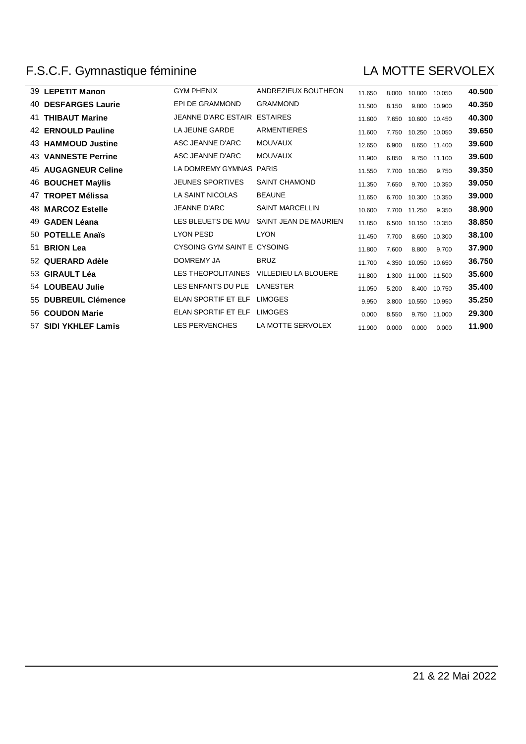### F.S.C.F. Gymnastique féminine

#### LA MOTTE SERVOLEX

|    | 39 LEPETIT Manon           | <b>GYM PHENIX</b>           | ANDREZIEUX BOUTHEON    | 11.650 | 8.000 | 10.800 | 10.050 | 40.500 |
|----|----------------------------|-----------------------------|------------------------|--------|-------|--------|--------|--------|
| 40 | <b>DESFARGES Laurie</b>    | EPI DE GRAMMOND             | <b>GRAMMOND</b>        | 11.500 | 8.150 | 9.800  | 10.900 | 40.350 |
| 41 | <b>THIBAUT Marine</b>      | JEANNE D'ARC ESTAIR         | <b>ESTAIRES</b>        | 11.600 | 7.650 | 10.600 | 10.450 | 40.300 |
|    | 42 ERNOULD Pauline         | LA JEUNE GARDE              | <b>ARMENTIERES</b>     | 11.600 | 7.750 | 10.250 | 10.050 | 39.650 |
|    | 43 HAMMOUD Justine         | ASC JEANNE D'ARC            | <b>MOUVAUX</b>         | 12.650 | 6.900 | 8.650  | 11.400 | 39.600 |
|    | <b>43 VANNESTE Perrine</b> | ASC JEANNE D'ARC            | <b>MOUVAUX</b>         | 11.900 | 6.850 | 9.750  | 11.100 | 39.600 |
|    | 45 AUGAGNEUR Celine        | LA DOMREMY GYMNAS           | PARIS                  | 11.550 | 7.700 | 10.350 | 9.750  | 39.350 |
|    | <b>46 BOUCHET Maylis</b>   | <b>JEUNES SPORTIVES</b>     | <b>SAINT CHAMOND</b>   | 11.350 | 7.650 | 9.700  | 10.350 | 39.050 |
| 47 | <b>TROPET Mélissa</b>      | <b>LA SAINT NICOLAS</b>     | <b>BEAUNE</b>          | 11.650 | 6.700 | 10.300 | 10.350 | 39.000 |
|    | 48 MARCOZ Estelle          | <b>JEANNE D'ARC</b>         | <b>SAINT MARCELLIN</b> | 10.600 | 7.700 | 11.250 | 9.350  | 38.900 |
| 49 | <b>GADEN Léana</b>         | LES BLEUETS DE MAU          | SAINT JEAN DE MAURIEN  | 11.850 | 6.500 | 10.150 | 10.350 | 38.850 |
|    | 50 POTELLE Anaïs           | <b>LYON PESD</b>            | <b>LYON</b>            | 11.450 | 7.700 | 8.650  | 10.300 | 38.100 |
| 51 | <b>BRION Lea</b>           | CYSOING GYM SAINT E CYSOING |                        | 11.800 | 7.600 | 8.800  | 9.700  | 37.900 |
|    | 52 QUERARD Adèle           | DOMREMY JA                  | <b>BRUZ</b>            | 11.700 | 4.350 | 10.050 | 10.650 | 36.750 |
|    | 53 GIRAULT Léa             | LES THEOPOLITAINES          | VILLEDIEU LA BLOUERE   | 11.800 | 1.300 | 11.000 | 11.500 | 35.600 |
|    | 54 LOUBEAU Julie           | LES ENFANTS DU PLE          | LANESTER               | 11.050 | 5.200 | 8.400  | 10.750 | 35.400 |
|    | 55 DUBREUIL Clémence       | ELAN SPORTIF ET ELF         | <b>LIMOGES</b>         | 9.950  | 3.800 | 10.550 | 10.950 | 35.250 |
|    | 56 COUDON Marie            | ELAN SPORTIF ET ELF         | <b>LIMOGES</b>         | 0.000  | 8.550 | 9.750  | 11.000 | 29.300 |
|    | 57 SIDI YKHLEF Lamis       | <b>LES PERVENCHES</b>       | LA MOTTE SERVOLEX      | 11.900 | 0.000 | 0.000  | 0.000  | 11.900 |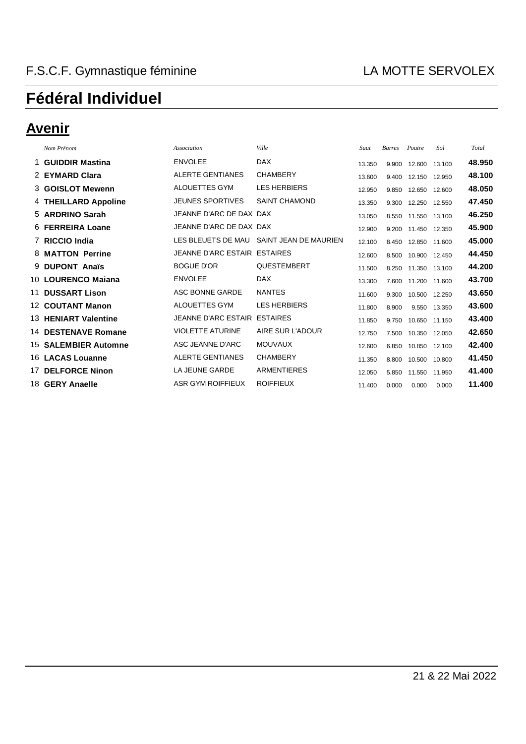### **Avenir**

| Nom Prénom                 | Association                  | Ville                                    | Saut   | <b>Barres</b> | Poutre        | Sol    | Total  |
|----------------------------|------------------------------|------------------------------------------|--------|---------------|---------------|--------|--------|
| 1 GUIDDIR Mastina          | <b>ENVOLEE</b>               | <b>DAX</b>                               | 13.350 | 9.900         | 12.600        | 13.100 | 48.950 |
| 2 EYMARD Clara             | <b>ALERTE GENTIANES</b>      | <b>CHAMBERY</b>                          | 13.600 | 9.400         | 12.150 12.950 |        | 48.100 |
| 3 GOISLOT Mewenn           | ALOUETTES GYM                | <b>LES HERBIERS</b>                      | 12.950 | 9.850         | 12.650 12.600 |        | 48.050 |
| 4 THEILLARD Appoline       | <b>JEUNES SPORTIVES</b>      | <b>SAINT CHAMOND</b>                     | 13.350 | 9.300         | 12.250 12.550 |        | 47.450 |
| 5 ARDRINO Sarah            | JEANNE D'ARC DE DAX DAX      |                                          | 13.050 | 8.550         | 11.550 13.100 |        | 46.250 |
| 6 FERREIRA Loane           | JEANNE D'ARC DE DAX DAX      |                                          | 12.900 | 9.200         | 11.450 12.350 |        | 45.900 |
| 7 RICCIO India             |                              | LES BLEUETS DE MAU SAINT JEAN DE MAURIEN | 12.100 | 8.450         | 12.850 11.600 |        | 45.000 |
| 8 MATTON Perrine           | JEANNE D'ARC ESTAIR ESTAIRES |                                          | 12.600 | 8.500         | 10.900 12.450 |        | 44.450 |
| 9 DUPONT Anaïs             | <b>BOGUE D'OR</b>            | QUESTEMBERT                              | 11.500 | 8.250         | 11.350 13.100 |        | 44.200 |
| 10 LOURENCO Maiana         | <b>ENVOLEE</b>               | <b>DAX</b>                               | 13.300 | 7.600         | 11.200        | 11.600 | 43.700 |
| 11 DUSSART Lison           | ASC BONNE GARDE              | <b>NANTES</b>                            | 11.600 | 9.300         | 10.500 12.250 |        | 43.650 |
| 12 COUTANT Manon           | ALOUETTES GYM                | <b>LES HERBIERS</b>                      | 11.800 | 8.900         | 9.550 13.350  |        | 43.600 |
| 13 HENIART Valentine       | JEANNE D'ARC ESTAIR ESTAIRES |                                          | 11.850 | 9.750         | 10.650 11.150 |        | 43.400 |
| <b>14 DESTENAVE Romane</b> | <b>VIOLETTE ATURINE</b>      | AIRE SUR L'ADOUR                         | 12.750 | 7.500         | 10.350 12.050 |        | 42.650 |
| 15 SALEMBIER Automne       | ASC JEANNE D'ARC             | <b>MOUVAUX</b>                           | 12.600 | 6.850         | 10.850 12.100 |        | 42.400 |
| 16 LACAS Louanne           | <b>ALERTE GENTIANES</b>      | <b>CHAMBERY</b>                          | 11.350 | 8.800         | 10.500        | 10.800 | 41.450 |
| 17 DELFORCE Ninon          | LA JEUNE GARDE               | <b>ARMENTIERES</b>                       | 12.050 | 5.850         | 11.550        | 11.950 | 41.400 |
| 18 GERY Anaelle            | ASR GYM ROIFFIEUX            | <b>ROIFFIEUX</b>                         | 11.400 | 0.000         | 0.000         | 0.000  | 11.400 |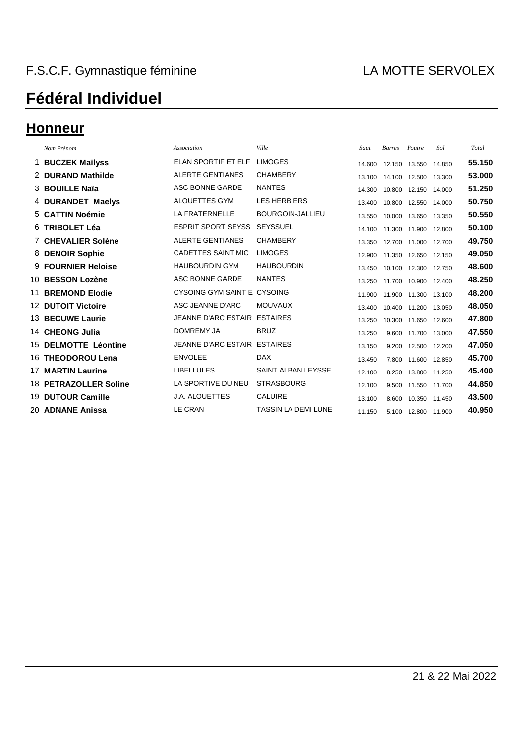#### **Honneur**

| Nom Prénom                   | Association                  | Ville                      | Saut   | <b>Barres</b> | Poutre        | Sol    | Total  |
|------------------------------|------------------------------|----------------------------|--------|---------------|---------------|--------|--------|
| 1 BUCZEK Maïlyss             | ELAN SPORTIF ET ELF          | <b>LIMOGES</b>             | 14.600 | 12.150        | 13.550        | 14.850 | 55.150 |
| 2 DURAND Mathilde            | <b>ALERTE GENTIANES</b>      | <b>CHAMBERY</b>            | 13.100 | 14.100        | 12.500        | 13.300 | 53.000 |
| 3 BOUILLE Naïa               | ASC BONNE GARDE              | <b>NANTES</b>              | 14.300 | 10.800        | 12.150        | 14.000 | 51.250 |
| 4 DURANDET Maelys            | ALOUETTES GYM                | <b>LES HERBIERS</b>        | 13.400 | 10.800        | 12.550        | 14.000 | 50.750 |
| 5 CATTIN Noémie              | LA FRATERNELLE               | <b>BOURGOIN-JALLIEU</b>    | 13.550 | 10.000        | 13.650        | 13.350 | 50.550 |
| 6 TRIBOLET Léa               | <b>ESPRIT SPORT SEYSS</b>    | <b>SEYSSUEL</b>            | 14.100 | 11.300        | 11.900        | 12.800 | 50.100 |
| 7 CHEVALIER Solène           | <b>ALERTE GENTIANES</b>      | <b>CHAMBERY</b>            | 13.350 | 12.700        | 11.000 12.700 |        | 49.750 |
| 8 DENOIR Sophie              | <b>CADETTES SAINT MIC</b>    | <b>LIMOGES</b>             | 12.900 | 11.350        | 12.650        | 12.150 | 49.050 |
| 9 FOURNIER Heloise           | <b>HAUBOURDIN GYM</b>        | <b>HAUBOURDIN</b>          | 13.450 | 10.100        | 12.300        | 12.750 | 48.600 |
| 10 BESSON Lozène             | ASC BONNE GARDE              | <b>NANTES</b>              | 13.250 | 11.700        | 10.900        | 12.400 | 48.250 |
| <b>11 BREMOND Elodie</b>     | CYSOING GYM SAINT E CYSOING  |                            | 11.900 | 11.900        | 11.300        | 13.100 | 48.200 |
| <b>12 DUTOIT Victoire</b>    | ASC JEANNE D'ARC             | <b>MOUVAUX</b>             | 13.400 | 10.400        | 11.200        | 13.050 | 48.050 |
| 13 BECUWE Laurie             | <b>JEANNE D'ARC ESTAIR</b>   | <b>ESTAIRES</b>            | 13.250 | 10.300        | 11.650        | 12.600 | 47.800 |
| 14 CHEONG Julia              | <b>DOMREMY JA</b>            | <b>BRUZ</b>                | 13.250 | 9.600         | 11.700        | 13.000 | 47.550 |
| 15 DELMOTTE Léontine         | JEANNE D'ARC ESTAIR ESTAIRES |                            | 13.150 | 9.200         | 12.500        | 12.200 | 47.050 |
| 16 THEODOROU Lena            | <b>ENVOLEE</b>               | <b>DAX</b>                 | 13.450 | 7.800         | 11.600        | 12.850 | 45.700 |
| <b>17 MARTIN Laurine</b>     | <b>LIBELLULES</b>            | <b>SAINT ALBAN LEYSSE</b>  | 12.100 | 8.250         | 13.800        | 11.250 | 45.400 |
| <b>18 PETRAZOLLER Soline</b> | LA SPORTIVE DU NEU           | <b>STRASBOURG</b>          | 12.100 | 9.500         | 11.550        | 11.700 | 44.850 |
| 19 DUTOUR Camille            | <b>J.A. ALOUETTES</b>        | <b>CALUIRE</b>             | 13.100 | 8.600         | 10.350 11.450 |        | 43.500 |
| 20 ADNANE Anissa             | <b>LE CRAN</b>               | <b>TASSIN LA DEMI LUNE</b> | 11.150 | 5.100         | 12.800        | 11.900 | 40.950 |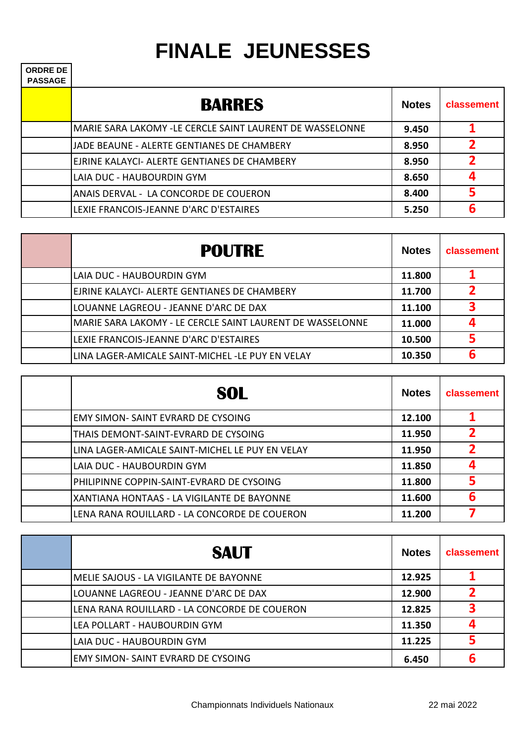# **FINALE JEUNESSES**

| <b>ORDRE DE</b><br><b>PASSAGE</b> |                                                          |              |              |
|-----------------------------------|----------------------------------------------------------|--------------|--------------|
|                                   | <b>BARRES</b>                                            | <b>Notes</b> | classement   |
|                                   | MARIE SARA LAKOMY -LE CERCLE SAINT LAURENT DE WASSELONNE | 9.450        |              |
|                                   | JJADE BEAUNE - ALERTE GENTIANES DE CHAMBERY              | 8.950        |              |
|                                   | IEJRINE KALAYCI- ALERTE GENTIANES DE CHAMBERY            | 8.950        |              |
|                                   | LAIA DUC - HAUBOURDIN GYM                                | 8.650        | $\mathbf{a}$ |
|                                   | ANAIS DERVAL - LA CONCORDE DE COUERON                    | 8.400        | 5            |
|                                   | LEXIE FRANCOIS-JEANNE D'ARC D'ESTAIRES                   | 5.250        | 6            |

| <b>POUTRE</b>                                             | <b>Notes</b> | classement |
|-----------------------------------------------------------|--------------|------------|
| LAIA DUC - HAUBOURDIN GYM                                 | 11.800       |            |
| EJRINE KALAYCI- ALERTE GENTIANES DE CHAMBERY              | 11.700       |            |
| LOUANNE LAGREOU - JEANNE D'ARC DE DAX                     | 11.100       |            |
| MARIE SARA LAKOMY - LE CERCLE SAINT LAURENT DE WASSELONNE | 11.000       |            |
| LEXIE FRANCOIS-JEANNE D'ARC D'ESTAIRES                    | 10.500       |            |
| LINA LAGER-AMICALE SAINT-MICHEL -LE PUY EN VELAY          | 10.350       | 6          |

| <b>SOL</b>                                      | <b>Notes</b> | classement   |
|-------------------------------------------------|--------------|--------------|
| <b>EMY SIMON- SAINT EVRARD DE CYSOING</b>       | 12.100       |              |
| THAIS DEMONT-SAINT-EVRARD DE CYSOING            | 11.950       |              |
| LINA LAGER-AMICALE SAINT-MICHEL LE PUY EN VELAY | 11.950       | 2            |
| LAIA DUC - HAUBOURDIN GYM                       | 11.850       | $\mathbf{a}$ |
| PHILIPINNE COPPIN-SAINT-EVRARD DE CYSOING       | 11.800       |              |
| XANTIANA HONTAAS - LA VIGILANTE DE BAYONNE      | 11.600       | 6            |
| LENA RANA ROUILLARD - LA CONCORDE DE COUERON    | 11.200       |              |

| <b>SAUT</b>                                  | <b>Notes</b> | classement |
|----------------------------------------------|--------------|------------|
| IMELIE SAJOUS - LA VIGILANTE DE BAYONNE      | 12.925       |            |
| LOUANNE LAGREOU - JEANNE D'ARC DE DAX        | 12.900       |            |
| LENA RANA ROUILLARD - LA CONCORDE DE COUERON | 12.825       |            |
| LEA POLLART - HAUBOURDIN GYM                 | 11.350       |            |
| LAIA DUC - HAUBOURDIN GYM                    | 11.225       |            |
| EMY SIMON-SAINT EVRARD DE CYSOING            | 6.450        | 6          |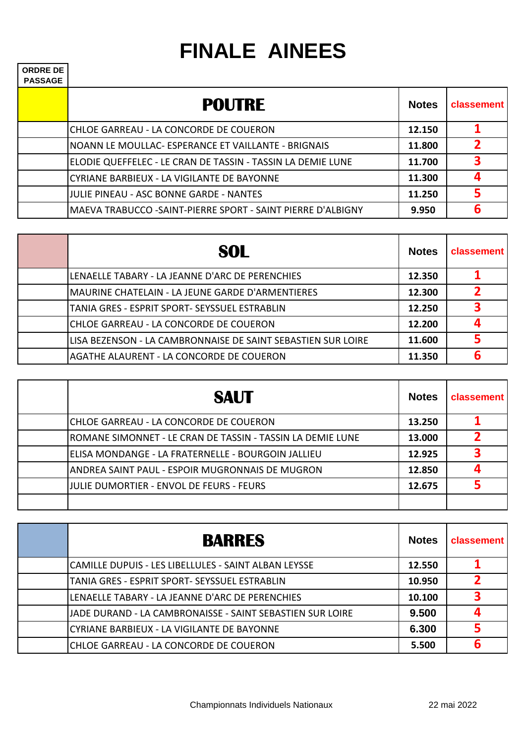## **FINALE AINEES**

**ORDRE DE** 

| しいレいし レレ<br><b>PASSAGE</b> |                                                              |              |                |
|----------------------------|--------------------------------------------------------------|--------------|----------------|
|                            | <b>POUTRE</b>                                                | <b>Notes</b> | classement     |
|                            | CHLOE GARREAU - LA CONCORDE DE COUERON                       | 12.150       |                |
|                            | NOANN LE MOULLAC- ESPERANCE ET VAILLANTE - BRIGNAIS          | 11.800       | $\overline{2}$ |
|                            | ELODIE QUEFFELEC - LE CRAN DE TASSIN - TASSIN LA DEMIE LUNE  | 11.700       | 3              |
|                            | CYRIANE BARBIEUX - LA VIGILANTE DE BAYONNE                   | 11.300       | $\mathbf{a}$   |
|                            | <b>JULIE PINEAU - ASC BONNE GARDE - NANTES</b>               | 11.250       | 5              |
|                            | MAEVA TRABUCCO - SAINT-PIERRE SPORT - SAINT PIERRE D'ALBIGNY | 9.950        | 6              |

| SOL                                                          | <b>Notes</b> | <b>classement</b> |
|--------------------------------------------------------------|--------------|-------------------|
| LENAELLE TABARY - LA JEANNE D'ARC DE PERENCHIES              | 12.350       |                   |
| MAURINE CHATELAIN - LA JEUNE GARDE D'ARMENTIERES             | 12.300       |                   |
| TANIA GRES - ESPRIT SPORT- SEYSSUEL ESTRABLIN                | 12.250       |                   |
| CHLOE GARREAU - LA CONCORDE DE COUERON                       | 12.200       |                   |
| LISA BEZENSON - LA CAMBRONNAISE DE SAINT SEBASTIEN SUR LOIRE | 11.600       |                   |
| AGATHE ALAURENT - LA CONCORDE DE COUERON                     | 11.350       |                   |

| <b>SAUT</b>                                                | <b>Notes</b> | <b>classement</b> |
|------------------------------------------------------------|--------------|-------------------|
| CHLOE GARREAU - LA CONCORDE DE COUERON                     | 13.250       |                   |
| ROMANE SIMONNET - LE CRAN DE TASSIN - TASSIN LA DEMIE LUNE | 13.000       |                   |
| ELISA MONDANGE - LA FRATERNELLE - BOURGOIN JALLIEU         | 12.925       | 3                 |
| ANDREA SAINT PAUL - ESPOIR MUGRONNAIS DE MUGRON            | 12.850       |                   |
| JJULIE DUMORTIER - ENVOL DE FEURS - FEURS                  | 12.675       |                   |
|                                                            |              |                   |

| <b>BARRES</b>                                             | <b>Notes</b> | classement |
|-----------------------------------------------------------|--------------|------------|
| CAMILLE DUPUIS - LES LIBELLULES - SAINT ALBAN LEYSSE      | 12.550       |            |
| TANIA GRES - ESPRIT SPORT- SEYSSUEL ESTRABLIN             | 10.950       |            |
| LENAELLE TABARY - LA JEANNE D'ARC DE PERENCHIES           | 10.100       | 3          |
| JADE DURAND - LA CAMBRONAISSE - SAINT SEBASTIEN SUR LOIRE | 9.500        |            |
| CYRIANE BARBIEUX - LA VIGILANTE DE BAYONNE                | 6.300        |            |
| CHLOE GARREAU - LA CONCORDE DE COUERON                    | 5.500        | 6          |